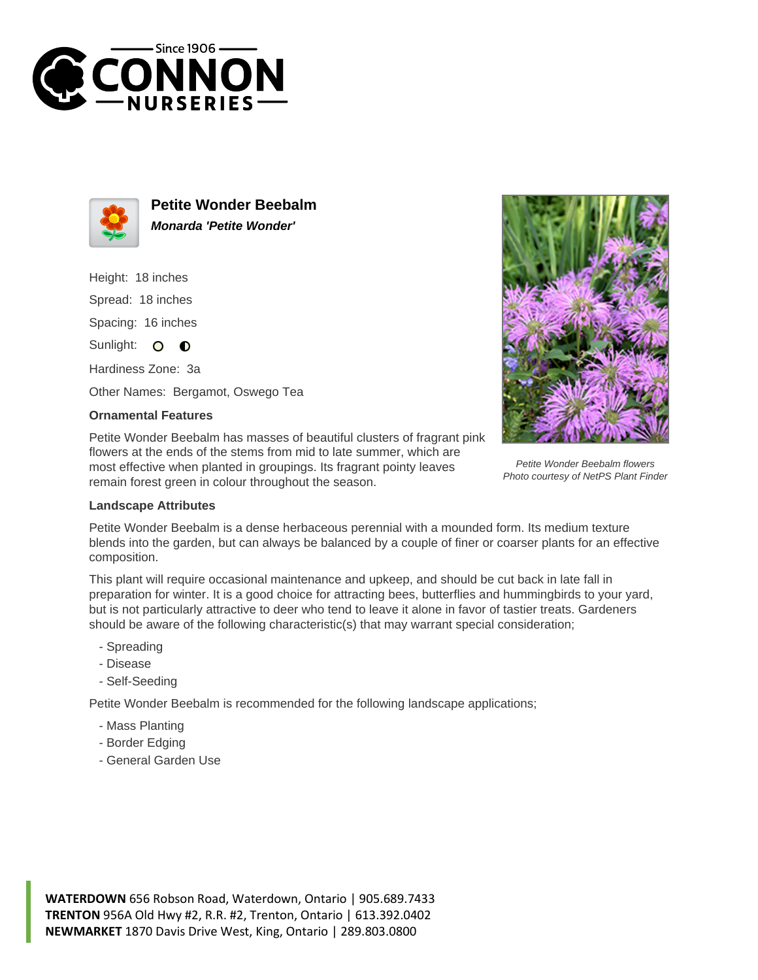



**Petite Wonder Beebalm Monarda 'Petite Wonder'**

Height: 18 inches Spread: 18 inches Spacing: 16 inches Sunlight: O **O** 

Hardiness Zone: 3a

Other Names: Bergamot, Oswego Tea

## **Ornamental Features**

Petite Wonder Beebalm has masses of beautiful clusters of fragrant pink flowers at the ends of the stems from mid to late summer, which are most effective when planted in groupings. Its fragrant pointy leaves remain forest green in colour throughout the season.



Petite Wonder Beebalm flowers Photo courtesy of NetPS Plant Finder

## **Landscape Attributes**

Petite Wonder Beebalm is a dense herbaceous perennial with a mounded form. Its medium texture blends into the garden, but can always be balanced by a couple of finer or coarser plants for an effective composition.

This plant will require occasional maintenance and upkeep, and should be cut back in late fall in preparation for winter. It is a good choice for attracting bees, butterflies and hummingbirds to your yard, but is not particularly attractive to deer who tend to leave it alone in favor of tastier treats. Gardeners should be aware of the following characteristic(s) that may warrant special consideration;

- Spreading
- Disease
- Self-Seeding

Petite Wonder Beebalm is recommended for the following landscape applications;

- Mass Planting
- Border Edging
- General Garden Use

**WATERDOWN** 656 Robson Road, Waterdown, Ontario | 905.689.7433 **TRENTON** 956A Old Hwy #2, R.R. #2, Trenton, Ontario | 613.392.0402 **NEWMARKET** 1870 Davis Drive West, King, Ontario | 289.803.0800